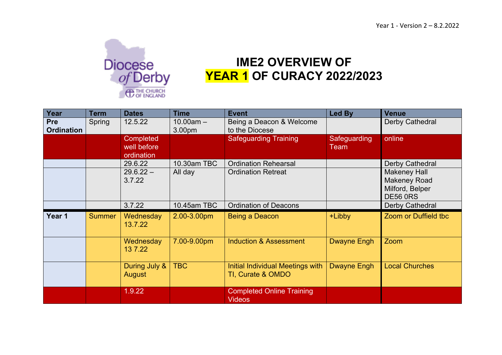

## **IME2 OVERVIEW OF YEAR 1 OF CURACY 2022/2023**

| Year                            | <b>Term</b>   | <b>Dates</b>                                  | <b>Time</b>            | <b>Event</b>                                                 | <b>Led By</b>        | <b>Venue</b>                                                                                        |
|---------------------------------|---------------|-----------------------------------------------|------------------------|--------------------------------------------------------------|----------------------|-----------------------------------------------------------------------------------------------------|
| <b>Pre</b><br><b>Ordination</b> | Spring        | 12.5.22                                       | $10.00am -$<br>3.00pm  | Being a Deacon & Welcome<br>to the Diocese                   |                      | Derby Cathedral                                                                                     |
|                                 |               | <b>Completed</b><br>well before<br>ordination |                        | <b>Safeguarding Training</b>                                 | Safeguarding<br>Team | online                                                                                              |
|                                 |               | 29.6.22<br>$29.6.22 -$<br>3.7.22              | 10.30am TBC<br>All day | <b>Ordination Rehearsal</b><br><b>Ordination Retreat</b>     |                      | Derby Cathedral<br><b>Makeney Hall</b><br><b>Makeney Road</b><br>Milford, Belper<br><b>DE56 0RS</b> |
|                                 |               | 3.7.22                                        | 10.45am TBC            | <b>Ordination of Deacons</b>                                 |                      | Derby Cathedral                                                                                     |
| Year 1                          | <b>Summer</b> | Wednesday<br>13.7.22                          | 2.00-3.00pm            | Being a Deacon                                               | +Libby               | Zoom or Duffield tbc                                                                                |
|                                 |               | Wednesday<br>13 7.22                          | 7.00-9.00pm            | <b>Induction &amp; Assessment</b>                            | Dwayne Engh          | Zoom                                                                                                |
|                                 |               | During July &<br>August                       | <b>TBC</b>             | <b>Initial Individual Meetings with</b><br>TI, Curate & OMDO | <b>Dwayne Engh</b>   | <b>Local Churches</b>                                                                               |
|                                 |               | 1.9.22                                        |                        | <b>Completed Online Training</b><br><b>Videos</b>            |                      |                                                                                                     |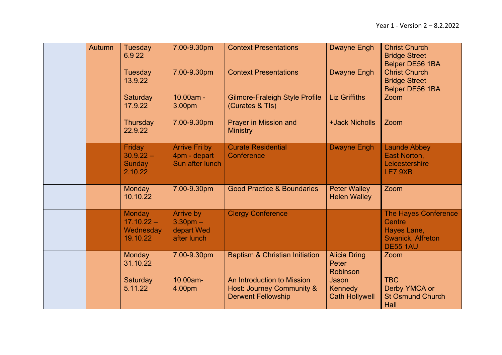| <b>Autumn</b> | <b>Tuesday</b><br>6.922                                | 7.00-9.30pm                                             | <b>Context Presentations</b>                                                         | <b>Dwayne Engh</b>                         | <b>Christ Church</b><br><b>Bridge Street</b><br>Belper DE56 1BA                                            |
|---------------|--------------------------------------------------------|---------------------------------------------------------|--------------------------------------------------------------------------------------|--------------------------------------------|------------------------------------------------------------------------------------------------------------|
|               | Tuesday<br>13.9.22                                     | 7.00-9.30pm                                             | <b>Context Presentations</b>                                                         | <b>Dwayne Engh</b>                         | <b>Christ Church</b><br><b>Bridge Street</b><br>Belper DE56 1BA                                            |
|               | Saturday<br>17.9.22                                    | 10.00am -<br>3.00pm                                     | <b>Gilmore-Fraleigh Style Profile</b><br>(Curates & TIs)                             | <b>Liz Griffiths</b>                       | Zoom                                                                                                       |
|               | Thursday<br>22.9.22                                    | 7.00-9.30pm                                             | Prayer in Mission and<br><b>Ministry</b>                                             | +Jack Nicholls                             | Zoom                                                                                                       |
|               | Friday<br>$30.9.22 -$<br><b>Sunday</b><br>2.10.22      | <b>Arrive Fri by</b><br>4pm - depart<br>Sun after lunch | <b>Curate Residential</b><br>Conference                                              | <b>Dwayne Engh</b>                         | <b>Launde Abbey</b><br>East Norton,<br>Leicestershire<br>LE7 9XB                                           |
|               | <b>Monday</b><br>10.10.22                              | 7.00-9.30pm                                             | <b>Good Practice &amp; Boundaries</b>                                                | <b>Peter Walley</b><br><b>Helen Walley</b> | Zoom                                                                                                       |
|               | <b>Monday</b><br>$17.10.22 -$<br>Wednesday<br>19.10.22 | Arrive by<br>$3.30pm -$<br>depart Wed<br>after lunch    | <b>Clergy Conference</b>                                                             |                                            | <b>The Hayes Conference</b><br><b>Centre</b><br>Hayes Lane,<br><b>Swanick, Alfreton</b><br><b>DE55 1AU</b> |
|               | <b>Monday</b><br>31.10.22                              | 7.00-9.30pm                                             | <b>Baptism &amp; Christian Initiation</b>                                            | <b>Alicia Dring</b><br>Peter<br>Robinson   | Zoom                                                                                                       |
|               | Saturday<br>5.11.22                                    | 10.00am-<br>4.00pm                                      | An Introduction to Mission<br>Host: Journey Community &<br><b>Derwent Fellowship</b> | Jason<br>Kennedy<br><b>Cath Hollywell</b>  | <b>TBC</b><br>Derby YMCA or<br><b>St Osmund Church</b><br>Hall                                             |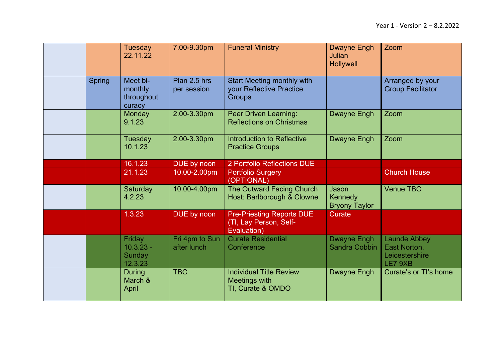|               | Tuesday<br>22.11.22                         | 7.00-9.30pm                   | <b>Funeral Ministry</b>                                                        | <b>Dwayne Engh</b><br><b>Julian</b><br><b>Hollywell</b> | Zoom                                                             |
|---------------|---------------------------------------------|-------------------------------|--------------------------------------------------------------------------------|---------------------------------------------------------|------------------------------------------------------------------|
| <b>Spring</b> | Meet bi-<br>monthly<br>throughout<br>curacy | Plan 2.5 hrs<br>per session   | <b>Start Meeting monthly with</b><br>your Reflective Practice<br><b>Groups</b> |                                                         | Arranged by your<br><b>Group Facilitator</b>                     |
|               | Monday<br>9.1.23                            | 2.00-3.30pm                   | Peer Driven Learning:<br><b>Reflections on Christmas</b>                       | <b>Dwayne Engh</b>                                      | Zoom                                                             |
|               | Tuesday<br>10.1.23                          | 2.00-3.30pm                   | <b>Introduction to Reflective</b><br><b>Practice Groups</b>                    | <b>Dwayne Engh</b>                                      | Zoom                                                             |
|               | 16.1.23                                     | DUE by noon                   | 2 Portfolio Reflections DUE                                                    |                                                         |                                                                  |
|               | 21.1.23                                     | 10.00-2.00pm                  | <b>Portfolio Surgery</b><br>(OPTIONAL)                                         |                                                         | <b>Church House</b>                                              |
|               | Saturday<br>4.2.23                          | 10.00-4.00pm                  | The Outward Facing Church<br>Host: Barlborough & Clowne                        | Jason<br>Kennedy<br><b>Bryony Taylor</b>                | <b>Venue TBC</b>                                                 |
|               | 1.3.23                                      | DUE by noon                   | <b>Pre-Priesting Reports DUE</b><br>(TI, Lay Person, Self-<br>Evaluation)      | Curate                                                  |                                                                  |
|               | Friday<br>$10.3.23 -$<br>Sunday<br>12.3.23  | Fri 4pm to Sun<br>after lunch | <b>Curate Residential</b><br>Conference                                        | <b>Dwayne Engh</b><br>Sandra Cobbin                     | <b>Launde Abbey</b><br>East Norton,<br>Leicestershire<br>LE7 9XB |
|               | <b>During</b><br>March &<br>April           | <b>TBC</b>                    | <b>Individual Title Review</b><br>Meetings with<br>TI, Curate & OMDO           | Dwayne Engh                                             | Curate's or TI's home                                            |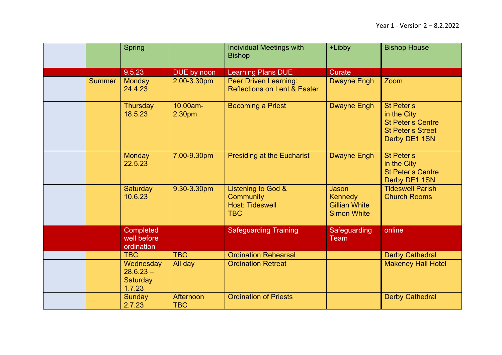|               | <b>Spring</b>                                         |                         | <b>Individual Meetings with</b><br><b>Bishop</b>                        | +Libby                                                                | <b>Bishop House</b>                                                                                       |
|---------------|-------------------------------------------------------|-------------------------|-------------------------------------------------------------------------|-----------------------------------------------------------------------|-----------------------------------------------------------------------------------------------------------|
|               | 9.5.23                                                | DUE by noon             | <b>Learning Plans DUE</b>                                               | <b>Curate</b>                                                         |                                                                                                           |
| <b>Summer</b> | Monday<br>24.4.23                                     | 2.00-3.30pm             | <b>Peer Driven Learning:</b><br><b>Reflections on Lent &amp; Easter</b> | <b>Dwayne Engh</b>                                                    | Zoom                                                                                                      |
|               | <b>Thursday</b><br>18.5.23                            | 10.00am-<br>2.30pm      | <b>Becoming a Priest</b>                                                | <b>Dwayne Engh</b>                                                    | <b>St Peter's</b><br>in the City<br><b>St Peter's Centre</b><br><b>St Peter's Street</b><br>Derby DE1 1SN |
|               | <b>Monday</b><br>22.5.23                              | 7.00-9.30pm             | <b>Presiding at the Eucharist</b>                                       | <b>Dwayne Engh</b>                                                    | St Peter's<br>in the City<br><b>St Peter's Centre</b><br>Derby DE1 1SN                                    |
|               | Saturday<br>10.6.23                                   | 9.30-3.30pm             | Listening to God &<br>Community<br><b>Host: Tideswell</b><br><b>TBC</b> | Jason<br><b>Kennedy</b><br><b>Gillian White</b><br><b>Simon White</b> | <b>Tideswell Parish</b><br><b>Church Rooms</b>                                                            |
|               | Completed<br>well before<br>ordination                |                         | <b>Safeguarding Training</b>                                            | Safeguarding<br>Team                                                  | online                                                                                                    |
|               | <b>TBC</b>                                            | <b>TBC</b>              | <b>Ordination Rehearsal</b>                                             |                                                                       | <b>Derby Cathedral</b>                                                                                    |
|               | Wednesday<br>$28.6.23 -$<br><b>Saturday</b><br>1.7.23 | All day                 | <b>Ordination Retreat</b>                                               |                                                                       | <b>Makeney Hall Hotel</b>                                                                                 |
|               | <b>Sunday</b><br>2.7.23                               | Afternoon<br><b>TBC</b> | <b>Ordination of Priests</b>                                            |                                                                       | <b>Derby Cathedral</b>                                                                                    |